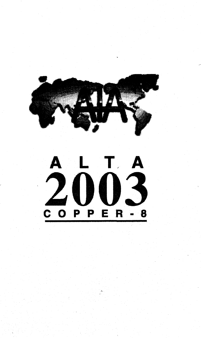

# $\Gamma$ ,  $\mathbf{A}$ 2003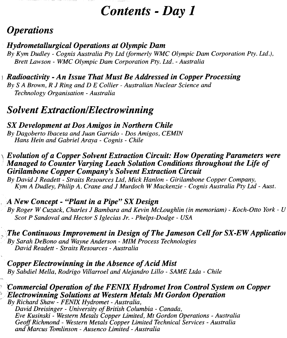## *Contents - Day 1*

## *Operations*

*}*

#### *Hydrometallurgical Operations at Olympic Dam*

*By Kym Dudley - Cognis Australia Pty Ltd (formerly WMC Olympic Dam Corporation Pty. Ltd.), Brett Lawson - WMC Olympic Dam Corporation Pty. Ltd. - Australia*

#### *) Radioactivity - An Issue That Must Be Addressed in Copper Processing*

*By S A Brown, R J Ring and D E Collier - Australian Nuclear Science and Technology Organisation - Australia*

## *Solvent ExtractionlElectrowinning*

#### *SX Development at Dos Amigos in Northern Chile By Dagoberto Ibaceta and Juan Garrido - Dos Amigos, CEMIN Hans Hein and Gabriel Araya - Cognis - Chile*

#### *\ Evolution of a Copper Solvent Extraction Circuit: How Operating Parameters were Managed to Counter Varying Leach Solution Conditions throughout the Life of Girilambone Copper Company's Solvent Extraction Circuit*

*By David J Readett - Straits Resources Ltd, Mick Hanlon - Girilambone Copper Company, Kym A Dudley, Philip A. Crane and J Murdoch W Mackenzie - Cognis Australia Pty Ltd - Aust.*

#### , *A New Concept - "Plant in a Pipe" SX Design*

*By Roger W Cuzack, Charles J Bambara and Kevin McLoughlin (in memoriam) - Koch-Otto York - U Scot P Sandoval and Hector S Iglecias Jr. - Phelps-Dodge - USA*

, *The Continuous Improvement in Design of The Jameson Cell for SX-EWApplication By Sarah DeBono and Wayne Anderson - MIM Process Technologies David Readett - Straits Resources - Australia*

*Copper Electrowinning in the Absence of Acid Mist By Sabdiel Mella, Rodrigo Villarroel and Alejandro Lillo - SAME Ltda - Chile*

#### *"Commercial Operation of the FENIX Hydromet Iron Control System on Copper Electrowinning Solutions at Western Metals Mt Gordon Operation By Richard Shaw - FENIX Hydromet - Australia,*

*David Dreisinger - University of British Columbia - Canada, Eve Kusinski - Western Metals Copper Limited, Mt Gordon Operations - Australia Geoff Richmond - Western Metals Copper Limited Technical Services - Australia and Marcus Tomlinson - Ausenco Limited - Australia*